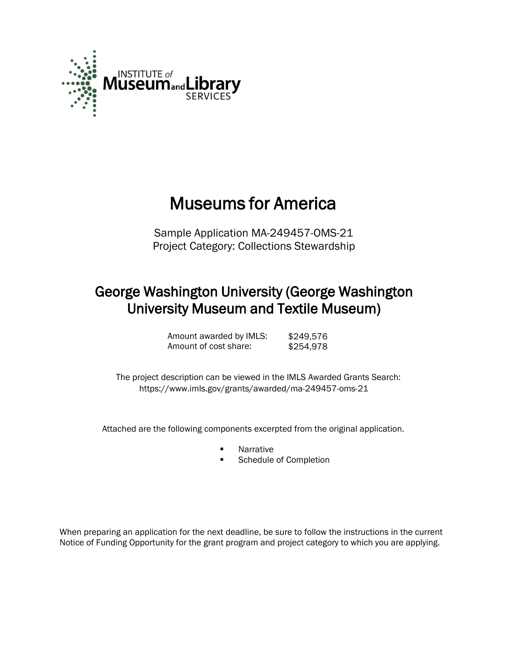

# Museums for America

Sample Application MA-249457-OMS-21 Project Category: Collections Stewardship

### George Washington University (George Washington University Museum and Textile Museum)

Amount awarded by IMLS: \$249,576<br>Amount of cost share: \$254,978 Amount of cost share:

 The project description can be viewed in the IMLS Awarded Grants Search: <https://www.imls.gov/grants/awarded/ma-249457-oms-21>

Attached are the following components excerpted from the original application.

- **Narrative**
- Schedule of Completion

When preparing an application for the next deadline, be sure to follow the instructions in the current Notice of Funding Opportunity for the grant program and project category to which you are applying.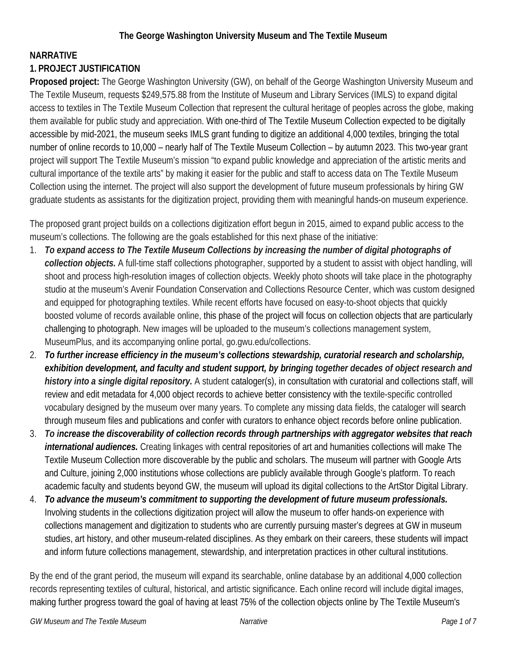#### **NARRATIVE**

#### **1. PROJECT JUSTIFICATION**

**Proposed project:** The George Washington University (GW), on behalf of the George Washington University Museum and The Textile Museum, requests \$249,575.88 from the Institute of Museum and Library Services (IMLS) to expand digital access to textiles in The Textile Museum Collection that represent the cultural heritage of peoples across the globe, making them available for public study and appreciation. With one-third of The Textile Museum Collection expected to be digitally accessible by mid-2021, the museum seeks IMLS grant funding to digitize an additional 4,000 textiles, bringing the total number of online records to 10,000 – nearly half of The Textile Museum Collection – by autumn 2023. This two-year grant project will support The Textile Museum's mission "to expand public knowledge and appreciation of the artistic merits and cultural importance of the textile arts" by making it easier for the public and staff to access data on The Textile Museum Collection using the internet. The project will also support the development of future museum professionals by hiring GW graduate students as assistants for the digitization project, providing them with meaningful hands-on museum experience.

The proposed grant project builds on a collections digitization effort begun in 2015, aimed to expand public access to the museum's collections. The following are the goals established for this next phase of the initiative:

- 1. *To expand access to The Textile Museum Collections by increasing the number of digital photographs of collection objects.* A full-time staff collections photographer, supported by a student to assist with object handling, will shoot and process high-resolution images of collection objects. Weekly photo shoots will take place in the photography studio at the museum's Avenir Foundation Conservation and Collections Resource Center, which was custom designed and equipped for photographing textiles. While recent efforts have focused on easy-to-shoot objects that quickly boosted volume of records available online, this phase of the project will focus on collection objects that are particularly challenging to photograph. New images will be uploaded to the museum's collections management system, MuseumPlus, and its accompanying online portal, go.gwu.edu/collections.
- 2. *To further increase efficiency in the museum's collections stewardship, curatorial research and scholarship, exhibition development, and faculty and student support, by bringing together decades of object research and history into a single digital repository.* A student cataloger(s), in consultation with curatorial and collections staff, will review and edit metadata for 4,000 object records to achieve better consistency with the textile-specific controlled vocabulary designed by the museum over many years. To complete any missing data fields, the cataloger will search through museum files and publications and confer with curators to enhance object records before online publication.
- 3. *To increase the discoverability of collection records through partnerships with aggregator websites that reach international audiences.* Creating linkages with central repositories of art and humanities collections will make The Textile Museum Collection more discoverable by the public and scholars. The museum will partner with Google Arts and Culture, joining 2,000 institutions whose collections are publicly available through Google's platform. To reach academic faculty and students beyond GW, the museum will upload its digital collections to the ArtStor Digital Library.
- 4. *To advance the museum's commitment to supporting the development of future museum professionals.* Involving students in the collections digitization project will allow the museum to offer hands-on experience with collections management and digitization to students who are currently pursuing master's degrees at GW in museum studies, art history, and other museum-related disciplines. As they embark on their careers, these students will impact and inform future collections management, stewardship, and interpretation practices in other cultural institutions.

By the end of the grant period, the museum will expand its searchable, online database by an additional 4,000 collection records representing textiles of cultural, historical, and artistic significance. Each online record will include digital images, making further progress toward the goal of having at least 75% of the collection objects online by The Textile Museum's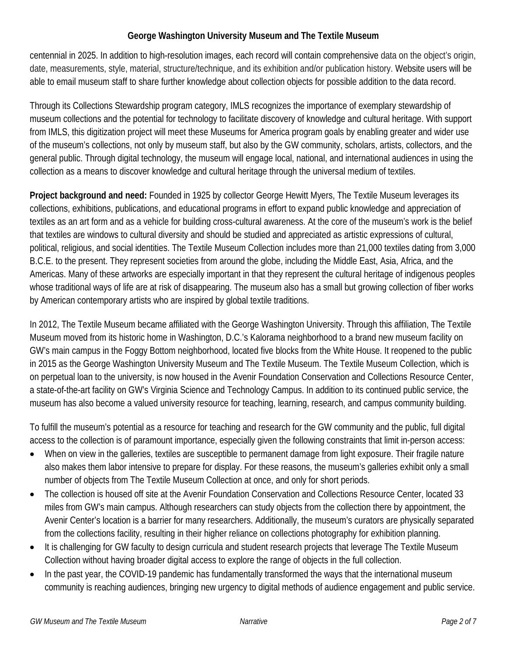centennial in 2025. In addition to high-resolution images, each record will contain comprehensive data on the object's origin, date, measurements, style, material, structure/technique, and its exhibition and/or publication history. Website users will be able to email museum staff to share further knowledge about collection objects for possible addition to the data record.

Through its Collections Stewardship program category, IMLS recognizes the importance of exemplary stewardship of museum collections and the potential for technology to facilitate discovery of knowledge and cultural heritage. With support from IMLS, this digitization project will meet these Museums for America program goals by enabling greater and wider use of the museum's collections, not only by museum staff, but also by the GW community, scholars, artists, collectors, and the general public. Through digital technology, the museum will engage local, national, and international audiences in using the collection as a means to discover knowledge and cultural heritage through the universal medium of textiles.

**Project background and need:** Founded in 1925 by collector George Hewitt Myers, The Textile Museum leverages its collections, exhibitions, publications, and educational programs in effort to expand public knowledge and appreciation of textiles as an art form and as a vehicle for building cross-cultural awareness. At the core of the museum's work is the belief that textiles are windows to cultural diversity and should be studied and appreciated as artistic expressions of cultural, political, religious, and social identities. The Textile Museum Collection includes more than 21,000 textiles dating from 3,000 B.C.E. to the present. They represent societies from around the globe, including the Middle East, Asia, Africa, and the Americas. Many of these artworks are especially important in that they represent the cultural heritage of indigenous peoples whose traditional ways of life are at risk of disappearing. The museum also has a small but growing collection of fiber works by American contemporary artists who are inspired by global textile traditions.

In 2012, The Textile Museum became affiliated with the George Washington University. Through this affiliation, The Textile Museum moved from its historic home in Washington, D.C.'s Kalorama neighborhood to a brand new museum facility on GW's main campus in the Foggy Bottom neighborhood, located five blocks from the White House. It reopened to the public in 2015 as the George Washington University Museum and The Textile Museum. The Textile Museum Collection, which is on perpetual loan to the university, is now housed in the Avenir Foundation Conservation and Collections Resource Center, a state-of-the-art facility on GW's Virginia Science and Technology Campus. In addition to its continued public service, the museum has also become a valued university resource for teaching, learning, research, and campus community building.

To fulfill the museum's potential as a resource for teaching and research for the GW community and the public, full digital access to the collection is of paramount importance, especially given the following constraints that limit in-person access:

- When on view in the galleries, textiles are susceptible to permanent damage from light exposure. Their fragile nature also makes them labor intensive to prepare for display. For these reasons, the museum's galleries exhibit only a small number of objects from The Textile Museum Collection at once, and only for short periods.
- The collection is housed off site at the Avenir Foundation Conservation and Collections Resource Center, located 33 miles from GW's main campus. Although researchers can study objects from the collection there by appointment, the Avenir Center's location is a barrier for many researchers. Additionally, the museum's curators are physically separated from the collections facility, resulting in their higher reliance on collections photography for exhibition planning.
- It is challenging for GW faculty to design curricula and student research projects that leverage The Textile Museum Collection without having broader digital access to explore the range of objects in the full collection.
- In the past year, the COVID-19 pandemic has fundamentally transformed the ways that the international museum community is reaching audiences, bringing new urgency to digital methods of audience engagement and public service.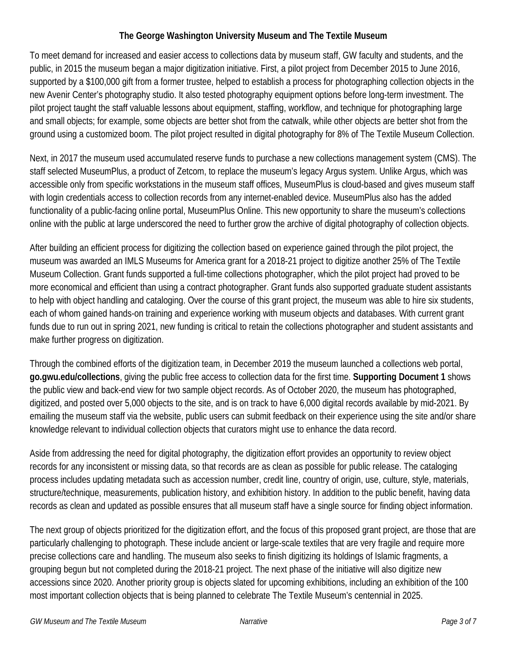To meet demand for increased and easier access to collections data by museum staff, GW faculty and students, and the public, in 2015 the museum began a major digitization initiative. First, a pilot project from December 2015 to June 2016, supported by a \$100,000 gift from a former trustee, helped to establish a process for photographing collection objects in the new Avenir Center's photography studio. It also tested photography equipment options before long-term investment. The pilot project taught the staff valuable lessons about equipment, staffing, workflow, and technique for photographing large and small objects; for example, some objects are better shot from the catwalk, while other objects are better shot from the ground using a customized boom. The pilot project resulted in digital photography for 8% of The Textile Museum Collection.

Next, in 2017 the museum used accumulated reserve funds to purchase a new collections management system (CMS). The staff selected MuseumPlus, a product of Zetcom, to replace the museum's legacy Argus system. Unlike Argus, which was accessible only from specific workstations in the museum staff offices, MuseumPlus is cloud-based and gives museum staff with login credentials access to collection records from any internet-enabled device. MuseumPlus also has the added functionality of a public-facing online portal, MuseumPlus Online. This new opportunity to share the museum's collections online with the public at large underscored the need to further grow the archive of digital photography of collection objects.

After building an efficient process for digitizing the collection based on experience gained through the pilot project, the museum was awarded an IMLS Museums for America grant for a 2018-21 project to digitize another 25% of The Textile Museum Collection. Grant funds supported a full-time collections photographer, which the pilot project had proved to be more economical and efficient than using a contract photographer. Grant funds also supported graduate student assistants to help with object handling and cataloging. Over the course of this grant project, the museum was able to hire six students, each of whom gained hands-on training and experience working with museum objects and databases. With current grant funds due to run out in spring 2021, new funding is critical to retain the collections photographer and student assistants and make further progress on digitization.

Through the combined efforts of the digitization team, in December 2019 the museum launched a collections web portal, **go.gwu.edu/collections**, giving the public free access to collection data for the first time. **Supporting Document 1** shows the public view and back-end view for two sample object records. As of October 2020, the museum has photographed, digitized, and posted over 5,000 objects to the site, and is on track to have 6,000 digital records available by mid-2021. By emailing the museum staff via the website, public users can submit feedback on their experience using the site and/or share knowledge relevant to individual collection objects that curators might use to enhance the data record.

Aside from addressing the need for digital photography, the digitization effort provides an opportunity to review object records for any inconsistent or missing data, so that records are as clean as possible for public release. The cataloging process includes updating metadata such as accession number, credit line, country of origin, use, culture, style, materials, structure/technique, measurements, publication history, and exhibition history. In addition to the public benefit, having data records as clean and updated as possible ensures that all museum staff have a single source for finding object information.

The next group of objects prioritized for the digitization effort, and the focus of this proposed grant project, are those that are particularly challenging to photograph. These include ancient or large-scale textiles that are very fragile and require more precise collections care and handling. The museum also seeks to finish digitizing its holdings of Islamic fragments, a grouping begun but not completed during the 2018-21 project. The next phase of the initiative will also digitize new accessions since 2020. Another priority group is objects slated for upcoming exhibitions, including an exhibition of the 100 most important collection objects that is being planned to celebrate The Textile Museum's centennial in 2025.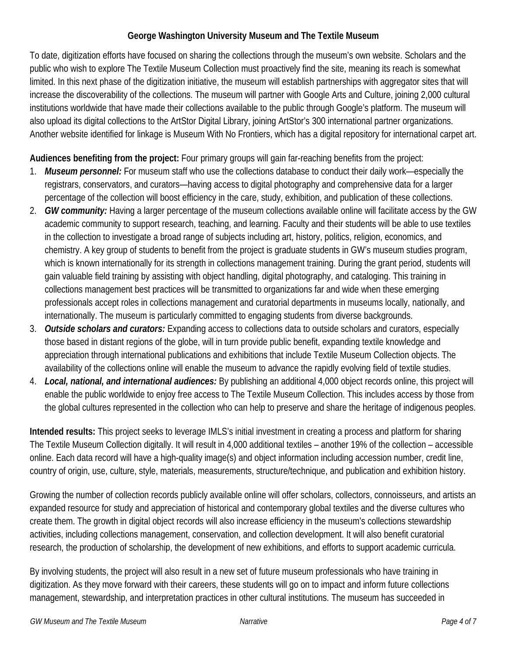To date, digitization efforts have focused on sharing the collections through the museum's own website. Scholars and the public who wish to explore The Textile Museum Collection must proactively find the site, meaning its reach is somewhat limited. In this next phase of the digitization initiative, the museum will establish partnerships with aggregator sites that will increase the discoverability of the collections. The museum will partner with Google Arts and Culture, joining 2,000 cultural institutions worldwide that have made their collections available to the public through Google's platform. The museum will also upload its digital collections to the ArtStor Digital Library, joining ArtStor's 300 international partner organizations. Another website identified for linkage is Museum With No Frontiers, which has a digital repository for international carpet art.

**Audiences benefiting from the project:** Four primary groups will gain far-reaching benefits from the project:

- 1. *Museum personnel:* For museum staff who use the collections database to conduct their daily work—especially the registrars, conservators, and curators—having access to digital photography and comprehensive data for a larger percentage of the collection will boost efficiency in the care, study, exhibition, and publication of these collections.
- 2. *GW community:* Having a larger percentage of the museum collections available online will facilitate access by the GW academic community to support research, teaching, and learning. Faculty and their students will be able to use textiles in the collection to investigate a broad range of subjects including art, history, politics, religion, economics, and chemistry. A key group of students to benefit from the project is graduate students in GW's museum studies program, which is known internationally for its strength in collections management training. During the grant period, students will gain valuable field training by assisting with object handling, digital photography, and cataloging. This training in collections management best practices will be transmitted to organizations far and wide when these emerging professionals accept roles in collections management and curatorial departments in museums locally, nationally, and internationally. The museum is particularly committed to engaging students from diverse backgrounds.
- 3. *Outside scholars and curators:* Expanding access to collections data to outside scholars and curators, especially those based in distant regions of the globe, will in turn provide public benefit, expanding textile knowledge and appreciation through international publications and exhibitions that include Textile Museum Collection objects. The availability of the collections online will enable the museum to advance the rapidly evolving field of textile studies.
- 4. *Local, national, and international audiences:* By publishing an additional 4,000 object records online, this project will enable the public worldwide to enjoy free access to The Textile Museum Collection. This includes access by those from the global cultures represented in the collection who can help to preserve and share the heritage of indigenous peoples.

**Intended results:** This project seeks to leverage IMLS's initial investment in creating a process and platform for sharing The Textile Museum Collection digitally. It will result in 4,000 additional textiles – another 19% of the collection – accessible online. Each data record will have a high-quality image(s) and object information including accession number, credit line, country of origin, use, culture, style, materials, measurements, structure/technique, and publication and exhibition history.

Growing the number of collection records publicly available online will offer scholars, collectors, connoisseurs, and artists an expanded resource for study and appreciation of historical and contemporary global textiles and the diverse cultures who create them. The growth in digital object records will also increase efficiency in the museum's collections stewardship activities, including collections management, conservation, and collection development. It will also benefit curatorial research, the production of scholarship, the development of new exhibitions, and efforts to support academic curricula.

By involving students, the project will also result in a new set of future museum professionals who have training in digitization. As they move forward with their careers, these students will go on to impact and inform future collections management, stewardship, and interpretation practices in other cultural institutions. The museum has succeeded in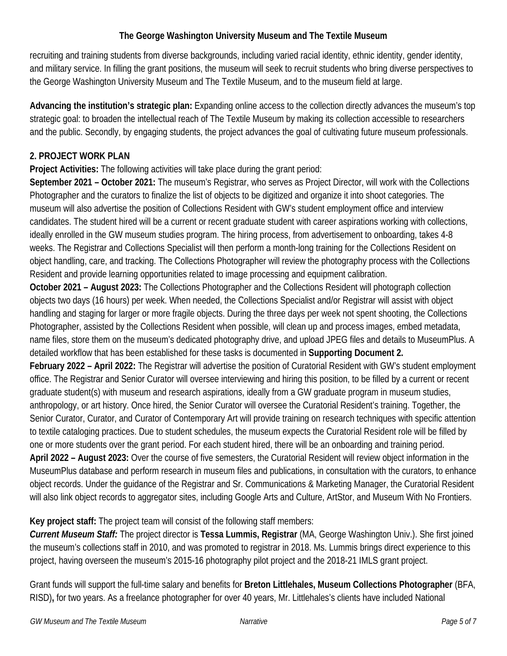recruiting and training students from diverse backgrounds, including varied racial identity, ethnic identity, gender identity, and military service. In filling the grant positions, the museum will seek to recruit students who bring diverse perspectives to the George Washington University Museum and The Textile Museum, and to the museum field at large.

**Advancing the institution's strategic plan:** Expanding online access to the collection directly advances the museum's top strategic goal: to broaden the intellectual reach of The Textile Museum by making its collection accessible to researchers and the public. Secondly, by engaging students, the project advances the goal of cultivating future museum professionals.

#### **2. PROJECT WORK PLAN**

**Project Activities:** The following activities will take place during the grant period:

**September 2021 – October 2021:** The museum's Registrar, who serves as Project Director, will work with the Collections Photographer and the curators to finalize the list of objects to be digitized and organize it into shoot categories. The museum will also advertise the position of Collections Resident with GW's student employment office and interview candidates. The student hired will be a current or recent graduate student with career aspirations working with collections, ideally enrolled in the GW museum studies program. The hiring process, from advertisement to onboarding, takes 4-8 weeks. The Registrar and Collections Specialist will then perform a month-long training for the Collections Resident on object handling, care, and tracking. The Collections Photographer will review the photography process with the Collections Resident and provide learning opportunities related to image processing and equipment calibration.

**October 2021 – August 2023:** The Collections Photographer and the Collections Resident will photograph collection objects two days (16 hours) per week. When needed, the Collections Specialist and/or Registrar will assist with object handling and staging for larger or more fragile objects. During the three days per week not spent shooting, the Collections Photographer, assisted by the Collections Resident when possible, will clean up and process images, embed metadata, name files, store them on the museum's dedicated photography drive, and upload JPEG files and details to MuseumPlus. A detailed workflow that has been established for these tasks is documented in **Supporting Document 2.** 

**February 2022 – April 2022:** The Registrar will advertise the position of Curatorial Resident with GW's student employment office. The Registrar and Senior Curator will oversee interviewing and hiring this position, to be filled by a current or recent graduate student(s) with museum and research aspirations, ideally from a GW graduate program in museum studies, anthropology, or art history. Once hired, the Senior Curator will oversee the Curatorial Resident's training. Together, the Senior Curator, Curator, and Curator of Contemporary Art will provide training on research techniques with specific attention to textile cataloging practices. Due to student schedules, the museum expects the Curatorial Resident role will be filled by one or more students over the grant period. For each student hired, there will be an onboarding and training period. **April 2022 – August 2023:** Over the course of five semesters, the Curatorial Resident will review object information in the MuseumPlus database and perform research in museum files and publications, in consultation with the curators, to enhance object records. Under the guidance of the Registrar and Sr. Communications & Marketing Manager, the Curatorial Resident will also link object records to aggregator sites, including Google Arts and Culture, ArtStor, and Museum With No Frontiers.

**Key project staff:** The project team will consist of the following staff members:

*Current Museum Staff:* The project director is **Tessa Lummis, Registrar** (MA, George Washington Univ.). She first joined the museum's collections staff in 2010, and was promoted to registrar in 2018. Ms. Lummis brings direct experience to this project, having overseen the museum's 2015-16 photography pilot project and the 2018-21 IMLS grant project.

Grant funds will support the full-time salary and benefits for **Breton Littlehales, Museum Collections Photographer** (BFA, RISD)**,** for two years. As a freelance photographer for over 40 years, Mr. Littlehales's clients have included National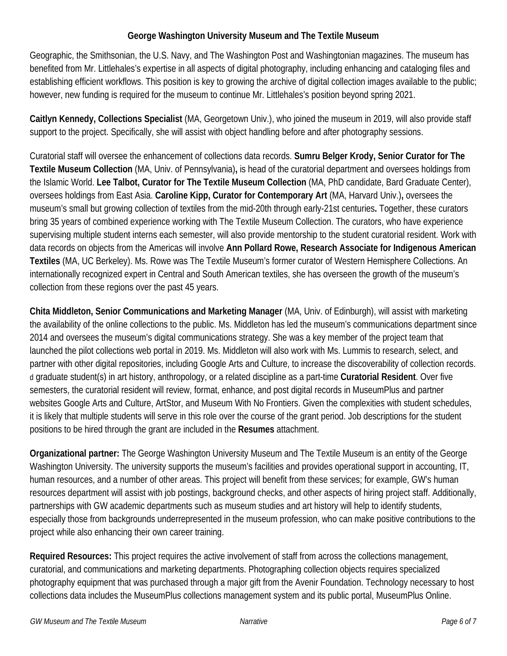Geographic, the Smithsonian, the U.S. Navy, and The Washington Post and Washingtonian magazines. The museum has benefited from Mr. Littlehales's expertise in all aspects of digital photography, including enhancing and cataloging files and establishing efficient workflows. This position is key to growing the archive of digital collection images available to the public; however, new funding is required for the museum to continue Mr. Littlehales's position beyond spring 2021.

**Caitlyn Kennedy, Collections Specialist** (MA, Georgetown Univ.), who joined the museum in 2019, will also provide staff support to the project. Specifically, she will assist with object handling before and after photography sessions.

Curatorial staff will oversee the enhancement of collections data records. **Sumru Belger Krody, Senior Curator for The Textile Museum Collection** (MA, Univ. of Pennsylvania)**,** is head of the curatorial department and oversees holdings from the Islamic World. **Lee Talbot, Curator for The Textile Museum Collection** (MA, PhD candidate, Bard Graduate Center), oversees holdings from East Asia. **Caroline Kipp, Curator for Contemporary Art** (MA, Harvard Univ.)**,** oversees the museum's small but growing collection of textiles from the mid-20th through early-21st centuries**.** Together, these curators bring 35 years of combined experience working with The Textile Museum Collection. The curators, who have experience supervising multiple student interns each semester, will also provide mentorship to the student curatorial resident. Work with data records on objects from the Americas will involve **Ann Pollard Rowe, Research Associate for Indigenous American Textiles** (MA, UC Berkeley). Ms. Rowe was The Textile Museum's former curator of Western Hemisphere Collections. An internationally recognized expert in Central and South American textiles, she has overseen the growth of the museum's collection from these regions over the past 45 years.

**Chita Middleton, Senior Communications and Marketing Manager** (MA, Univ. of Edinburgh), will assist with marketing the availability of the online collections to the public. Ms. Middleton has led the museum's communications department since 2014 and oversees the museum's digital communications strategy. She was a key member of the project team that launched the pilot collections web portal in 2019. Ms. Middleton will also work with Ms. Lummis to research, select, and partner with other digital repositories, including Google Arts and Culture, to increase the discoverability of collection records. d graduate student(s) in art history, anthropology, or a related discipline as a part-time **Curatorial Resident**. Over five semesters, the curatorial resident will review, format, enhance, and post digital records in MuseumPlus and partner websites Google Arts and Culture, ArtStor, and Museum With No Frontiers. Given the complexities with student schedules, it is likely that multiple students will serve in this role over the course of the grant period. Job descriptions for the student positions to be hired through the grant are included in the **Resumes** attachment.

**Organizational partner:** The George Washington University Museum and The Textile Museum is an entity of the George Washington University. The university supports the museum's facilities and provides operational support in accounting, IT, human resources, and a number of other areas. This project will benefit from these services; for example, GW's human resources department will assist with job postings, background checks, and other aspects of hiring project staff. Additionally, partnerships with GW academic departments such as museum studies and art history will help to identify students, especially those from backgrounds underrepresented in the museum profession, who can make positive contributions to the project while also enhancing their own career training.

**Required Resources:** This project requires the active involvement of staff from across the collections management, curatorial, and communications and marketing departments. Photographing collection objects requires specialized photography equipment that was purchased through a major gift from the Avenir Foundation. Technology necessary to host collections data includes the MuseumPlus collections management system and its public portal, MuseumPlus Online.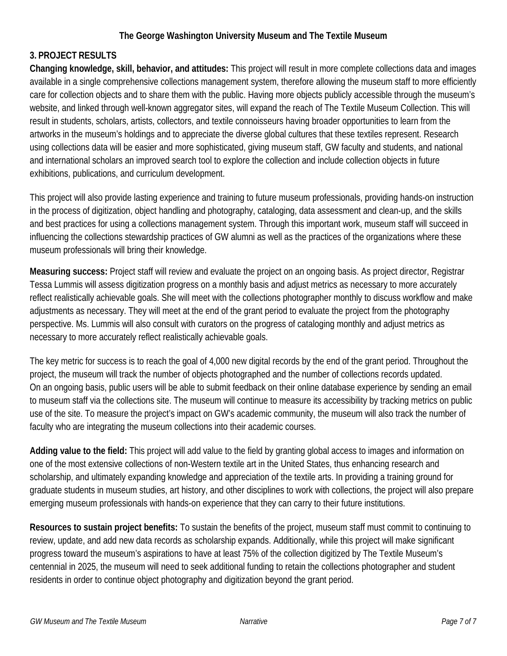#### **3. PROJECT RESULTS**

**Changing knowledge, skill, behavior, and attitudes:** This project will result in more complete collections data and images available in a single comprehensive collections management system, therefore allowing the museum staff to more efficiently care for collection objects and to share them with the public. Having more objects publicly accessible through the museum's website, and linked through well-known aggregator sites, will expand the reach of The Textile Museum Collection. This will result in students, scholars, artists, collectors, and textile connoisseurs having broader opportunities to learn from the artworks in the museum's holdings and to appreciate the diverse global cultures that these textiles represent. Research using collections data will be easier and more sophisticated, giving museum staff, GW faculty and students, and national and international scholars an improved search tool to explore the collection and include collection objects in future exhibitions, publications, and curriculum development.

This project will also provide lasting experience and training to future museum professionals, providing hands-on instruction in the process of digitization, object handling and photography, cataloging, data assessment and clean-up, and the skills and best practices for using a collections management system. Through this important work, museum staff will succeed in influencing the collections stewardship practices of GW alumni as well as the practices of the organizations where these museum professionals will bring their knowledge.

**Measuring success:** Project staff will review and evaluate the project on an ongoing basis. As project director, Registrar Tessa Lummis will assess digitization progress on a monthly basis and adjust metrics as necessary to more accurately reflect realistically achievable goals. She will meet with the collections photographer monthly to discuss workflow and make adjustments as necessary. They will meet at the end of the grant period to evaluate the project from the photography perspective. Ms. Lummis will also consult with curators on the progress of cataloging monthly and adjust metrics as necessary to more accurately reflect realistically achievable goals.

The key metric for success is to reach the goal of 4,000 new digital records by the end of the grant period. Throughout the project, the museum will track the number of objects photographed and the number of collections records updated. On an ongoing basis, public users will be able to submit feedback on their online database experience by sending an email to museum staff via the collections site. The museum will continue to measure its accessibility by tracking metrics on public use of the site. To measure the project's impact on GW's academic community, the museum will also track the number of faculty who are integrating the museum collections into their academic courses.

**Adding value to the field:** This project will add value to the field by granting global access to images and information on one of the most extensive collections of non-Western textile art in the United States, thus enhancing research and scholarship, and ultimately expanding knowledge and appreciation of the textile arts. In providing a training ground for graduate students in museum studies, art history, and other disciplines to work with collections, the project will also prepare emerging museum professionals with hands-on experience that they can carry to their future institutions.

**Resources to sustain project benefits:** To sustain the benefits of the project, museum staff must commit to continuing to review, update, and add new data records as scholarship expands. Additionally, while this project will make significant progress toward the museum's aspirations to have at least 75% of the collection digitized by The Textile Museum's centennial in 2025, the museum will need to seek additional funding to retain the collections photographer and student residents in order to continue object photography and digitization beyond the grant period.